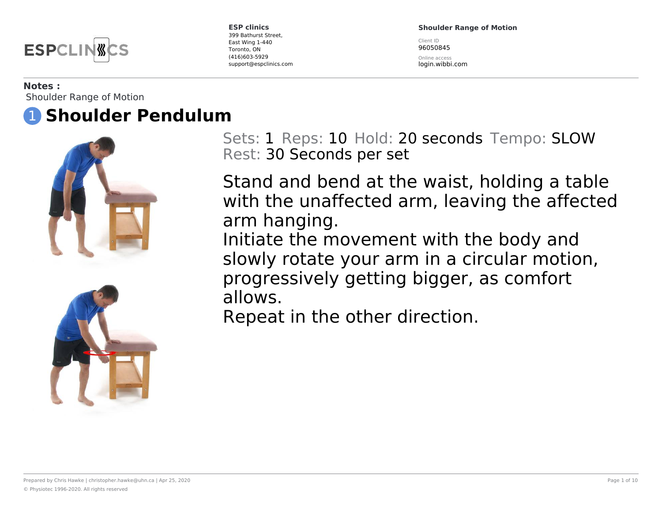

**Shoulder Range of Motion**

Client ID 96050845

Online access login.wibbi.com

#### **Notes :**

Shoulder Range of Motion





Sets: 1 Reps: 10 Hold: 20 seconds Tempo: SLOW Rest: 30 Seconds per set

Stand and bend at the waist, holding a table with the unaffected arm, leaving the affected arm hanging. Initiate the movement with the body and slowly rotate your arm in a circular motion,

progressively getting bigger, as comfort allows.

Repeat in the other direction.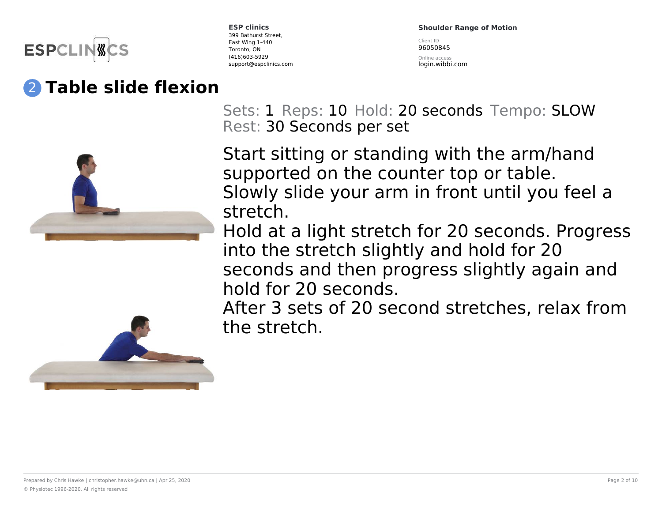

## 2 **Table slide flexion**

**ESP clinics** 399 Bathurst Street, East Wing 1-440 Toronto, ON (416)603-5929 support@espclinics.com **Shoulder Range of Motion**

Client ID 96050845

Online access login.wibbi.com

Sets: 1 Reps: 10 Hold: 20 seconds Tempo: SLOW Rest: 30 Seconds per set

Start sitting or standing with the arm/hand supported on the counter top or table. Slowly slide your arm in front until you feel a stretch.

Hold at a light stretch for 20 seconds. Progress into the stretch slightly and hold for 20 seconds and then progress slightly again and hold for 20 seconds.



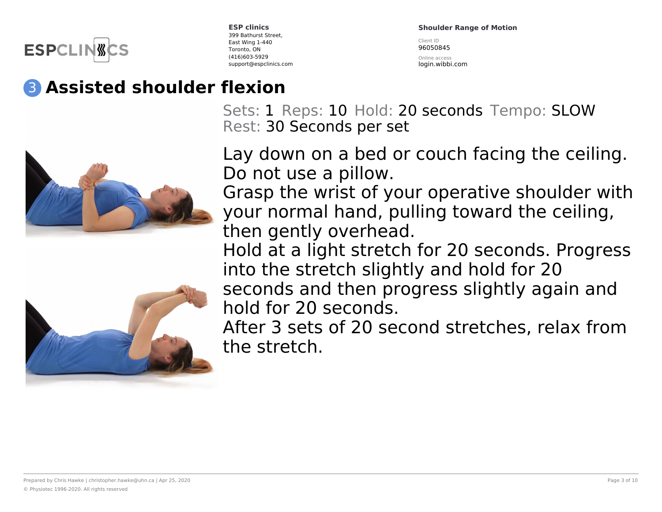

**Shoulder Range of Motion**

Client ID 96050845

Online access login.wibbi.com

# 3 **Assisted shoulder flexion**





Sets: 1 Reps: 10 Hold: 20 seconds Tempo: SLOW Rest: 30 Seconds per set

Lay down on a bed or couch facing the ceiling. Do not use a pillow.

Grasp the wrist of your operative shoulder with your normal hand, pulling toward the ceiling, then gently overhead.

Hold at a light stretch for 20 seconds. Progress into the stretch slightly and hold for 20 seconds and then progress slightly again and hold for 20 seconds.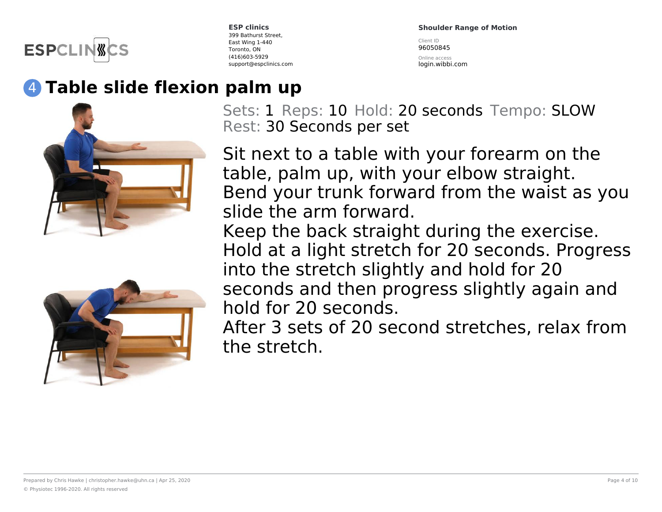

**Shoulder Range of Motion**

Client ID 96050845

Online access login.wibbi.com

# 4 **Table slide flexion palm up**





Sets: 1 Reps: 10 Hold: 20 seconds Tempo: SLOW Rest: 30 Seconds per set

Sit next to a table with your forearm on the table, palm up, with your elbow straight. Bend your trunk forward from the waist as you slide the arm forward.

Keep the back straight during the exercise. Hold at a light stretch for 20 seconds. Progress into the stretch slightly and hold for 20 seconds and then progress slightly again and hold for 20 seconds.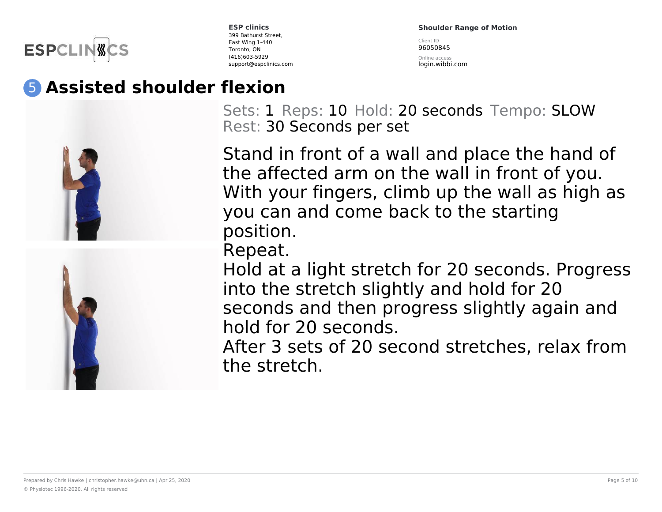

**Shoulder Range of Motion**

Client ID 96050845

Online access login.wibbi.com

## 5 **Assisted shoulder flexion**





Sets: 1 Reps: 10 Hold: 20 seconds Tempo: SLOW Rest: 30 Seconds per set

Stand in front of a wall and place the hand of the affected arm on the wall in front of you. With your fingers, climb up the wall as high as you can and come back to the starting position.

Repeat.

Hold at a light stretch for 20 seconds. Progress into the stretch slightly and hold for 20 seconds and then progress slightly again and hold for 20 seconds.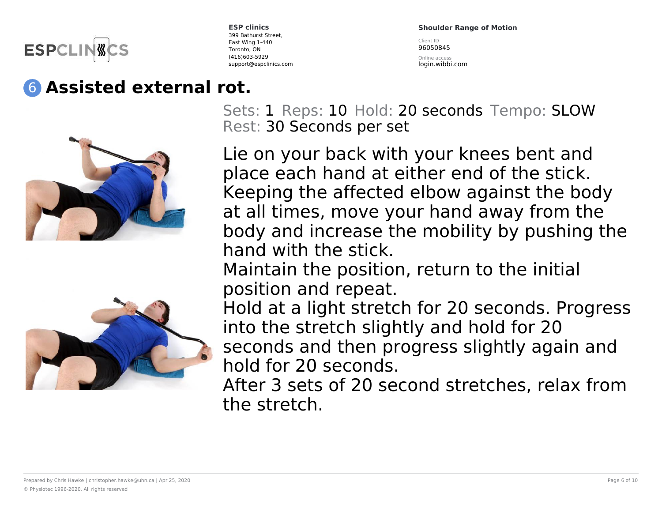

### 6 **Assisted external rot.**





**ESP clinics** 399 Bathurst Street, East Wing 1-440 Toronto, ON (416)603-5929 support@espclinics.com **Shoulder Range of Motion**

Client ID 96050845

Online access login.wibbi.com

Sets: 1 Reps: 10 Hold: 20 seconds Tempo: SLOW Rest: 30 Seconds per set

Lie on your back with your knees bent and place each hand at either end of the stick. Keeping the affected elbow against the body at all times, move your hand away from the body and increase the mobility by pushing the hand with the stick.

Maintain the position, return to the initial position and repeat.

Hold at a light stretch for 20 seconds. Progress into the stretch slightly and hold for 20 seconds and then progress slightly again and hold for 20 seconds.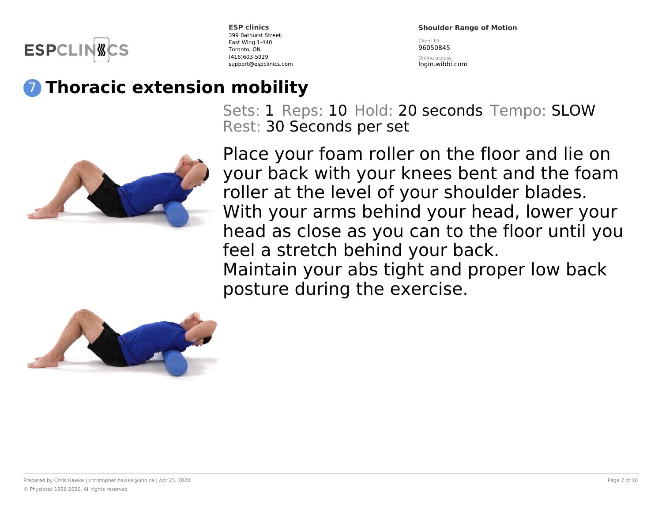

**Shoulder Range of Motion** Client ID

96050845

Online access login.wibbi.com

## 7 **Thoracic extension mobility**

Sets: 1 Reps: 10 Hold: 20 seconds Tempo: SLOW Rest: 30 Seconds per set



Place your foam roller on the floor and lie on your back with your knees bent and the foam roller at the level of your shoulder blades. With your arms behind your head, lower your head as close as you can to the floor until you feel a stretch behind your back. Maintain your abs tight and proper low back posture during the exercise.

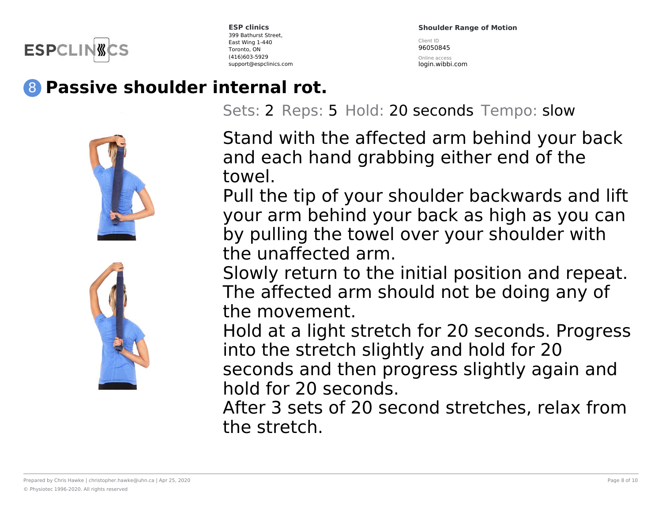

**Shoulder Range of Motion** Client ID

96050845

Online access login.wibbi.com

# 8 **Passive shoulder internal rot.**





Sets: 2 Reps: 5 Hold: 20 seconds Tempo: slow

Stand with the affected arm behind your back and each hand grabbing either end of the towel.

Pull the tip of your shoulder backwards and lift your arm behind your back as high as you can by pulling the towel over your shoulder with the unaffected arm.

Slowly return to the initial position and repeat. The affected arm should not be doing any of the movement.

Hold at a light stretch for 20 seconds. Progress into the stretch slightly and hold for 20 seconds and then progress slightly again and hold for 20 seconds.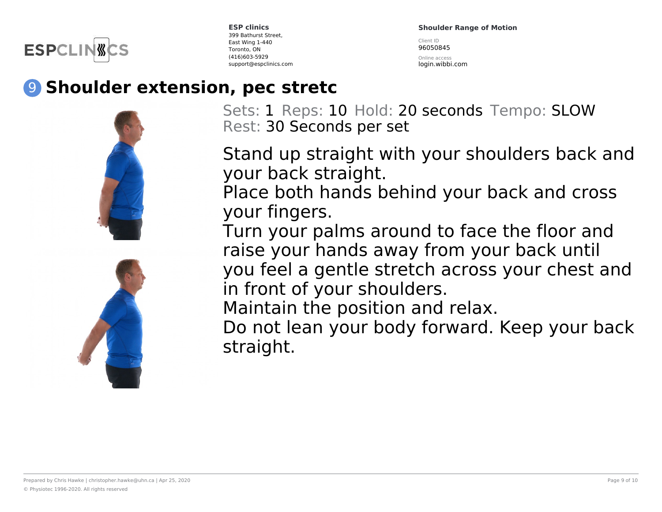

**Shoulder Range of Motion**

Client ID 96050845

Online access login.wibbi.com

### 9 **Shoulder extension, pec stretc**



Sets: 1 Reps: 10 Hold: 20 seconds Tempo: SLOW Rest: 30 Seconds per set

Stand up straight with your shoulders back and your back straight.

Place both hands behind your back and cross your fingers.

Turn your palms around to face the floor and raise your hands away from your back until you feel a gentle stretch across your chest and in front of your shoulders.

Maintain the position and relax.

Do not lean your body forward. Keep your back straight.